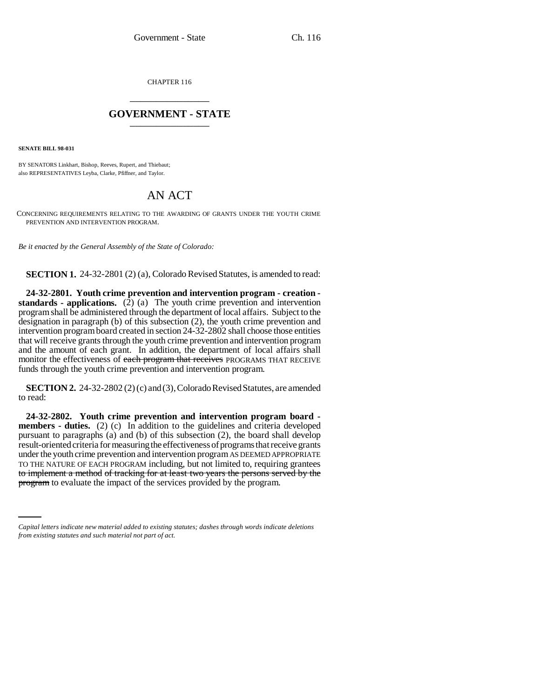CHAPTER 116 \_\_\_\_\_\_\_\_\_\_\_\_\_\_\_

## **GOVERNMENT - STATE** \_\_\_\_\_\_\_\_\_\_\_\_\_\_\_

**SENATE BILL 98-031**

BY SENATORS Linkhart, Bishop, Reeves, Rupert, and Thiebaut; also REPRESENTATIVES Leyba, Clarke, Pfiffner, and Taylor.

## AN ACT

CONCERNING REQUIREMENTS RELATING TO THE AWARDING OF GRANTS UNDER THE YOUTH CRIME PREVENTION AND INTERVENTION PROGRAM.

*Be it enacted by the General Assembly of the State of Colorado:*

**SECTION 1.** 24-32-2801 (2) (a), Colorado Revised Statutes, is amended to read:

**24-32-2801. Youth crime prevention and intervention program - creation standards - applications.** (2) (a) The youth crime prevention and intervention program shall be administered through the department of local affairs. Subject to the designation in paragraph (b) of this subsection (2), the youth crime prevention and intervention program board created in section 24-32-2802 shall choose those entities that will receive grants through the youth crime prevention and intervention program and the amount of each grant. In addition, the department of local affairs shall monitor the effectiveness of each program that receives PROGRAMS THAT RECEIVE funds through the youth crime prevention and intervention program.

**SECTION 2.** 24-32-2802 (2) (c) and (3), Colorado Revised Statutes, are amended to read:

to implement a method of tracking for at least two years the persons served by the **24-32-2802. Youth crime prevention and intervention program board members - duties.** (2) (c) In addition to the guidelines and criteria developed pursuant to paragraphs (a) and (b) of this subsection (2), the board shall develop result-oriented criteria for measuring the effectiveness of programs that receive grants under the youth crime prevention and intervention program AS DEEMED APPROPRIATE TO THE NATURE OF EACH PROGRAM including, but not limited to, requiring grantees program to evaluate the impact of the services provided by the program.

*Capital letters indicate new material added to existing statutes; dashes through words indicate deletions from existing statutes and such material not part of act.*